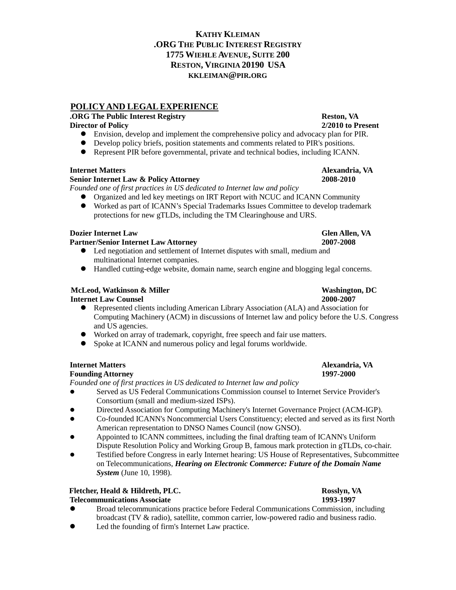# **KATHY KLEIMAN .ORG THE PUBLIC INTEREST REGISTRY 1775 WIEHLE AVENUE, SUITE 200 RESTON, VIRGINIA 20190 USA KKLEIMAN@PIR.ORG**

# **POLICYAND LEGALEXPERIENCE**

# **.ORG The Public Interest Registry Reston, VA**

## **Director of Policy 2/2010 to Present**

- Envision, develop and implement the comprehensive policy and advocacy plan for PIR.
- Develop policy briefs, position statements and comments related to PIR's positions.
- Represent PIR before governmental, private and technical bodies, including ICANN.

# **Internet Matters Alexandria, VA**

## **Senior Internet Law & Policy Attorney 2008-2010**

*Founded one of first practices in US dedicated to Internet law and policy*

- Organized and led key meetings on IRT Report with NCUC and ICANN Community
- Worked as part of ICANN's Special Trademarks Issues Committee to develop trademark protections for new gTLDs, including the TM Clearinghouse and URS.

# **Dozier Internet Law Glen Allen, VA**

## **Partner/Senior Internet Law Attorney 2007-2008**

- Led negotiation and settlement of Internet disputes with small, medium and multinational Internet companies.
- Handled cutting-edge website, domain name, search engine and blogging legal concerns.

# **McLeod, Watkinson & Miller Washington, DC**

## **Internet Law Counsel 2000-2007**

- Represented clients including American Library Association (ALA) and Association for Computing Machinery (ACM) in discussions of Internet law and policy before the U.S. Congress and US agencies.
- Worked on array of trademark, copyright, free speech and fair use matters.
- Spoke at ICANN and numerous policy and legal forums worldwide.

# **Internet Matters Alexandria, VA**

## **Founding Attorney 1997-2000**

*Founded one of first practices in US dedicated to Internet law and policy*

- Served as US Federal Communications Commission counsel to Internet Service Provider's Consortium (small and medium-sized ISPs).
- Directed Association for Computing Machinery's Internet Governance Project (ACM-IGP).
- Co-founded ICANN's Noncommercial Users Constituency; elected and served as its first North American representation to DNSO Names Council (now GNSO).
- Appointed to ICANN committees, including the final drafting team of ICANN's Uniform Dispute Resolution Policy and Working Group B, famous mark protection in gTLDs, co-chair.
- Testified before Congress in early Internet hearing: US House of Representatives, Subcommittee on Telecommunications, *Hearing on Electronic Commerce: Future of the Domain Name System* (June 10, 1998).

# **Fletcher, Heald & Hildreth, PLC. Rosslyn, VA**

# **Telecommunications Associate 1993-1997**

- Broad telecommunications practice before Federal Communications Commission, including broadcast (TV & radio), satellite, common carrier, low-powered radio and business radio.
- Led the founding of firm's Internet Law practice.